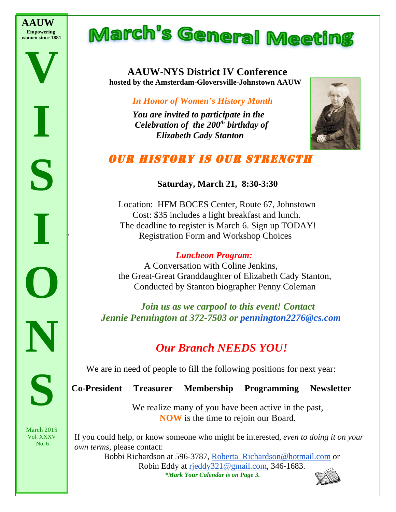

**V**

**I**

**S**

**I**

**O**

**N**

**S**

*8:30-2:30*

# March's General Meeting

## **AAUW-NYS District IV Conference hosted by the Amsterdam-Gloversville-Johnstown AAUW**

#### *In Honor of Women's History Month*

*You are invited to participate in the Celebration of the 200th birthday of Elizabeth Cady Stanton*



### OUR HISTORY IS OUR STRENGTH

#### **Saturday, March 21, 8:30-3:30**

Location: HFM BOCES Center, Route 67, Johnstown Cost: \$35 includes a light breakfast and lunch. The deadline to register is March 6. Sign up TODAY! Registration Form and Workshop Choices

#### *Luncheon Program:*

 A Conversation with Coline Jenkins, the Great-Great Granddaughter of Elizabeth Cady Stanton, Conducted by Stanton biographer Penny Coleman

*Join us as we carpool to this event! Contact Jennie Pennington at 372-7503 or pennington2276@cs.com*

### *Our Branch NEEDS YOU!*

We are in need of people to fill the following positions for next year:

**Co-President Treasurer Membership Programming Newsletter** 

We realize many of you have been active in the past, **NOW** is the time to rejoin our Board.

If you could help, or know someone who might be interested, *even to doing it on your own terms,* please contact:

Bobbi Richardson at 596-3787, Roberta\_Richardson@hotmail.com or Robin Eddy at rjeddy321@gmail.com, 346-1683.*\*Mark Your Calendar is on Page 3.*

March 2015 Vol. XXXV No. 6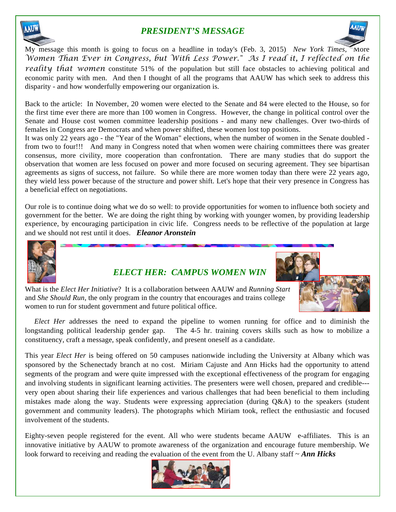

#### *PRESIDENT'S MESSAGE*



My message this month is going to focus on a headline in today's (Feb. 3, 2015) *New York Times*, "More *Women Than Ever in Congress, but With Less Power." As I read it, I reflected on the reality that women* constitute 51% of the population but still face obstacles to achieving political and economic parity with men. And then I thought of all the programs that AAUW has which seek to address this disparity - and how wonderfully empowering our organization is.

Back to the article: In November, 20 women were elected to the Senate and 84 were elected to the House, so for the first time ever there are more than 100 women in Congress. However, the change in political control over the Senate and House cost women committee leadership positions - and many new challenges. Over two-thirds of females in Congress are Democrats and when power shifted, these women lost top positions.

It was only 22 years ago - the "Year of the Woman" elections, when the number of women in the Senate doubled from two to four!!! And many in Congress noted that when women were chairing committees there was greater consensus, more civility, more cooperation than confrontation. There are many studies that do support the observation that women are less focused on power and more focused on securing agreement. They see bipartisan agreements as signs of success, not failure. So while there are more women today than there were 22 years ago, they wield less power because of the structure and power shift. Let's hope that their very presence in Congress has a beneficial effect on negotiations.

Our role is to continue doing what we do so well: to provide opportunities for women to influence both society and government for the better. We are doing the right thing by working with younger women, by providing leadership experience, by encouraging participation in civic life. Congress needs to be reflective of the population at large and we should not rest until it does. *Eleanor Aronstein*



#### *ELECT HER: CAMPUS WOMEN WIN*



What is the *Elect Her Initiative*? It is a collaboration between AAUW and *Running Start* and *She Should Run*, the only program in the country that encourages and trains college women to run for student government and future political office.

*Elect Her* addresses the need to expand the pipeline to women running for office and to diminish the longstanding political leadership gender gap. The 4-5 hr. training covers skills such as how to mobilize a constituency, craft a message, speak confidently, and present oneself as a candidate.

This year *Elect Her* is being offered on 50 campuses nationwide including the University at Albany which was sponsored by the Schenectady branch at no cost. Miriam Cajuste and Ann Hicks had the opportunity to attend segments of the program and were quite impressed with the exceptional effectiveness of the program for engaging and involving students in significant learning activities. The presenters were well chosen, prepared and credible-- very open about sharing their life experiences and various challenges that had been beneficial to them including mistakes made along the way. Students were expressing appreciation (during Q&A) to the speakers (student government and community leaders). The photographs which Miriam took, reflect the enthusiastic and focused involvement of the students.

Eighty-seven people registered for the event. All who were students became AAUW e-affiliates. This is an innovative initiative by AAUW to promote awareness of the organization and encourage future membership. We look forward to receiving and reading the evaluation of the event from the U. Albany staff ~ *Ann Hicks* 

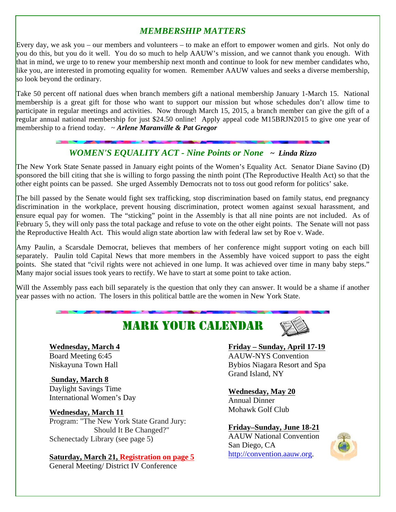#### *MEMBERSHIP MATTERS*

Every day, we ask you – our members and volunteers – to make an effort to empower women and girls. Not only do you do this, but you do it well. You do so much to help AAUW's mission, and we cannot thank you enough. With that in mind, we urge to to renew your membership next month and continue to look for new member candidates who, like you, are interested in promoting equality for women. Remember AAUW values and seeks a diverse membership, so look beyond the ordinary.

Take 50 percent off national dues when branch members gift a national membership January 1-March 15. National membership is a great gift for those who want to support our mission but whose schedules don't allow time to participate in regular meetings and activities. Now through March 15, 2015, a branch member can give the gift of a regular annual national membership for just \$24.50 online! Apply appeal code M15BRJN2015 to give one year of membership to a friend today. ~ *Arlene Maranville & Pat Gregor*

#### *WOMEN'S EQUALITY ACT - Nine Points or None ~ Linda Rizzo*

The New York State Senate passed in January eight points of the Women's Equality Act. Senator Diane Savino (D) sponsored the bill citing that she is willing to forgo passing the ninth point (The Reproductive Health Act) so that the other eight points can be passed. She urged Assembly Democrats not to toss out good reform for politics' sake.

The bill passed by the Senate would fight sex trafficking, stop discrimination based on family status, end pregnancy discrimination in the workplace, prevent housing discrimination, protect women against sexual harassment, and ensure equal pay for women. The "sticking" point in the Assembly is that all nine points are not included. As of February 5, they will only pass the total package and refuse to vote on the other eight points. The Senate will not pass the Reproductive Health Act. This would align state abortion law with federal law set by Roe v. Wade.

Amy Paulin, a Scarsdale Democrat, believes that members of her conference might support voting on each bill separately. Paulin told Capital News that more members in the Assembly have voiced support to pass the eight points. She stated that "civil rights were not achieved in one lump. It was achieved over time in many baby steps." Many major social issues took years to rectify. We have to start at some point to take action.

Will the Assembly pass each bill separately is the question that only they can answer. It would be a shame if another year passes with no action. The losers in this political battle are the women in New York State.

## MARK YOUR CALENDAR



**Wednesday, March 4** Board Meeting 6:45 Niskayuna Town Hall

**Sunday, March 8**  Daylight Savings Time International Women's Day

#### **Wednesday, March 11**

Program: "The New York State Grand Jury: Should It Be Changed?" Schenectady Library (see page 5)

#### **Saturday, March 21, Registration on page 5**

General Meeting/ District IV Conference

#### **Friday – Sunday, April 17-19**

AAUW-NYS Convention Bybios Niagara Resort and Spa Grand Island, NY

#### **Wednesday, May 20**

Annual Dinner Mohawk Golf Club

#### **Friday–Sunday, June 18-21**

AAUW National Convention San Diego, CA http://convention.aauw.org.

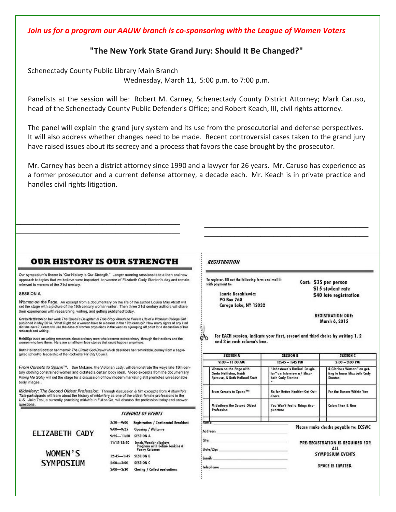*Join us for a program our AAUW branch is co-sponsoring with the League of Women Voters* 

#### "The New York State Grand Jury: Should It Be Changed?"

Schenectady County Public Library Main Branch

Wednesday, March 11, 5:00 p.m. to 7:00 p.m.

Panelists at the session will be: Robert M. Carney, Schenectady County District Attorney; Mark Caruso, head of the Schenectady County Public Defender's Office; and Robert Keach, III, civil rights attorney.

The panel will explain the grand jury system and its use from the prosecutorial and defense perspectives. It will also address whether changes need to be made. Recent controversial cases taken to the grand jury have raised issues about its secrecy and a process that favors the case brought by the prosecutor.

Mr. Carney has been a district attorney since 1990 and a lawyer for 26 years. Mr. Caruso has experience as a former prosecutor and a current defense attorney, a decade each. Mr. Keach is in private practice and handles civil rights litigation.

\_\_\_\_\_\_\_\_\_\_\_\_\_\_\_\_\_\_\_\_\_\_\_\_\_\_\_\_\_\_\_\_\_\_\_\_\_\_ \_\_\_\_\_\_\_\_\_\_\_\_\_\_\_\_\_\_\_\_\_\_\_\_\_\_\_\_\_\_\_\_\_\_\_\_\_\_

#### **OUR HISTORY IS OUR STRENGTH**

\_\_\_\_\_\_\_\_\_\_\_\_\_\_\_\_\_\_\_\_\_\_\_\_\_\_\_\_\_\_\_\_\_\_\_\_\_\_

Our symposium's theme is "Our History is Our Strength," Longer morning sessions take a then and now approach to topics that we believe were important to women of Elizabeth Cady Stanton's day and remain relevant to women of the 21st century.

#### **SESSION A**

Women on the Page. An excerpt from a documentary on the life of the author Louisa May Alcott will set the stage with a picture of the 19th century woman writer. Then three 21st century authors will share their experiences with researching, writing, and getting published today.

Greta Nettleton on her work The Quack's Daughter: A True Story About the Private Life of a Victorian College Girl<br>published in May 2014. What Right did a woman have to a career in the 19th century? How many rights of any k did she have? Greta will use the case of women physicians in the west as a jumping off point for a discussion of her research and writing

HeldiSprouse on writing romances about ordinary men who become extraordinary through their actions and the<br>women who love them. Hers are small town love stories that could happen anywhere.

Ruth Holland Scott on her memoir The Circles God Draws which describes her remarkable journey from a segreasted school to leadership of the Rochester NY City Council.

From Corsets to Spanx<sup>7M</sup>. Sue McLane, the Victorian Lady, will demonstrate the ways late 19th century clothing constrained women and dictated a certain body ideal. Video excerpts from the documentary Killing Me Softly will set the stage for a discussion of how modern marketing still promotes unreasonable body images.

Midwifery: The Second Oldest Profession. Through discussion & film excerpts from A Midwife's Tale participants will learn about the history of midwifery as one of the oldest female professions in the U.S. Julie Tesi, a currently practicing midwife in Fulton Co, will discuss the profession today and answer questions.

#### **SCHEDULE OF EVENTS**

|                             | $8:30 - 9:00$  | Registration / Continental Breakfast                                    |
|-----------------------------|----------------|-------------------------------------------------------------------------|
|                             | $9,00 - 9,25$  | Opening / Welcome                                                       |
| ELIZABETH CADY              | $9:25 - 11:30$ | <b>SESSION A</b>                                                        |
| WOMEN'S<br><b>SYMPOSIUM</b> | $11:15-12:40$  | tunch/Vendor displays<br>Program with Coline Jenkins &<br>Penny Coleman |
|                             | $12:45 - 1:45$ | <b>SESSION B</b>                                                        |
|                             | $2:00 - 3:00$  | <b>SESSION C</b>                                                        |
|                             | $3:00 - 3:30$  | Closing / Collect evaluations                                           |
|                             |                |                                                                         |

#### **REGISTRATION**

**Telephone:** 

To register, fill out the following form and mail it with oovment to:

> Laurie Kozakiewicz **PO Box 760** Caroga Lake, NY 12032

Cost: \$35 per person \$15 student rate \$40 late registration

> **REGISTRATION DUE:** March 6, 2015

ďь For EACH session, indicate your first, second and third choice by writing 1, 2 and 3 in each column's box.

\_\_\_\_\_\_\_\_\_\_\_\_\_\_\_\_\_\_\_\_\_\_\_\_\_\_\_\_\_\_\_\_\_\_\_\_\_\_

| <b>SESSION A</b>                                                                  | <b>SESSION B</b>                                                                | <b>SESSION C</b>                                                     |  |
|-----------------------------------------------------------------------------------|---------------------------------------------------------------------------------|----------------------------------------------------------------------|--|
| $9:30 - 11:00$ AR                                                                 | $12:45 - 1:45$ P.R.                                                             | $2:00 - 3:00$ PA                                                     |  |
| Women on the Page with<br>Greta Nettleton, Heidi<br>Sprouse, & Ruth Holland Scott | "Jahnstown's Radical Daugh-<br>ter" an Interview w/ Eliza-<br>beth Cady Stanton | A Glorious Waman" on get-<br>ting to know Elizabeth Cady<br>Stanton. |  |
| From Corsets to Spanx <sup>7M</sup>                                               | Rx for Better Health- Get Out-<br>doors                                         | For the Dancer Within You                                            |  |
| Midwifery: the Second Oldest<br>Profession                                        | You Won't Feel a Thing: Acu-<br>ounclure                                        | Color: Then & Now                                                    |  |
| Namo:                                                                             |                                                                                 |                                                                      |  |
| Address:                                                                          |                                                                                 | Please make checks payable to: ECSWC                                 |  |
| City:<br>State/Zip:                                                               |                                                                                 | PRE-REGISTRATION IS REQUIRED FOR<br>ALL                              |  |
| <b>Email:</b>                                                                     |                                                                                 | <b>SYMPOSIUM EVENTS</b>                                              |  |

SPACE IS LIMITED.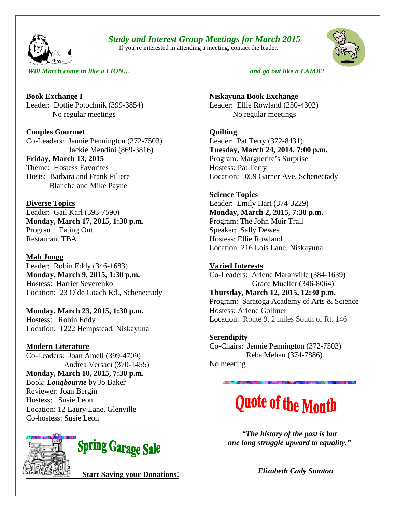#### *Study and Interest Group Meetings for March 2015*

If you're interested in attending a meeting, contact the leader.



*Will March come in like a LION*... **b a a a** *and go out like a LAMB?* 

**Book Exchange I** Leader: Dottie Potochnik (399-3854) No regular meetings

**Couples Gourmet** Co-Leaders: Jennie Pennington (372-7503) Jackie Mendini (869-3816)

**Friday, March 13, 2015** Theme: Hostess Favorites Hosts: Barbara and Frank Piliere Blanche and Mike Payne

**Diverse Topics** Leader: Gail Karl (393-7590) **Monday, March 17, 2015, 1:30 p.m.** Program: Eating Out Restaurant TBA

#### **Mah Jongg**

Leader: Robin Eddy (346-1683) **Monday, March 9, 2015, 1:30 p.m.** Hostess: Harriet Severenko Location:23 Olde Coach Rd., Schenectady

**Monday, March 23, 2015, 1:30 p.m.** Hostess: Robin Eddy Location: 1222 Hempstead, Niskayuna

**Modern Literature** Co-Leaders: Joan Amell (399-4709) Andrea Versaci (370-1455) **Monday, March 10, 2015, 7:30 p.m.** Book: *Longbourne* by Jo Baker Reviewer: Joan Bergin

Hostess: Susie Leon Location: 12 Laury Lane, Glenville Co-hostess: Susie Leon



**Niskayuna Book Exchange** Leader: Ellie Rowland (250-4302) No regular meetings

**Quilting** Leader: Pat Terry (372-8431) **Tuesday, March 24, 2014, 7:00 p.m.** Program: Marguerite's Surprise Hostess: Pat Terry Location: 1059 Garner Ave, Schenectady

**Science Topics** Leader: Emily Hart (374-3229) **Monday, March 2, 2015, 7:30 p.m.** Program: The John Muir Trail Speaker: Sally Dewes Hostess: Ellie Rowland Location: 216 Lois Lane, Niskayuna

#### **Varied Interests**

Co-Leaders: Arlene Maranville (384-1639) Grace Mueller (346-8064) **Thursday, March 12, 2015, 12:30 p.m.**  Program: Saratoga Academy of Arts & Science Hostess: Arlene Gollmer Location: Route 9, 2 miles South of Rt. 146

**Serendipity** Co-Chairs: Jennie Pennington (372-7503) Reba Mehan (374-7886) No meeting

## **Quote of the Month**

*"The history of the past is but one long struggle upward to equality."*

 *Elizabeth Cady Stanton*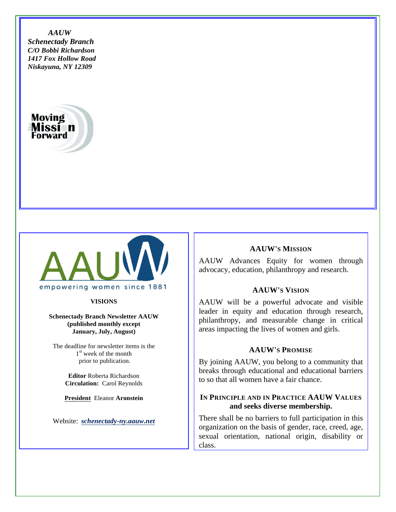*AAUW Schenectady Branch C/O Bobbi Richardson 1417 Fox Hollow Road Niskayuna, NY 12309* 





**VISIONS**

**Schenectady Branch Newsletter AAUW (published monthly except January, July, August)**

The deadline for newsletter items is the 1<sup>st</sup> week of the month prior to publication.

> **Editor** Roberta Richardson **Circulation:** Carol Reynolds

**President** Eleanor **Aronstein**

Website: *schenectady-ny.aauw.net*

#### **AAUW'S MISSION**

AAUW Advances Equity for women through advocacy, education, philanthropy and research.

#### **AAUW'S VISION**

AAUW will be a powerful advocate and visible leader in equity and education through research, philanthropy, and measurable change in critical areas impacting the lives of women and girls.

#### **AAUW'S PROMISE**

By joining AAUW, you belong to a community that breaks through educational and educational barriers to so that all women have a fair chance.

#### **IN PRINCIPLE AND IN PRACTICE AAUW VALUES and seeks diverse membership.**

There shall be no barriers to full participation in this organization on the basis of gender, race, creed, age, sexual orientation, national origin, disability or class.